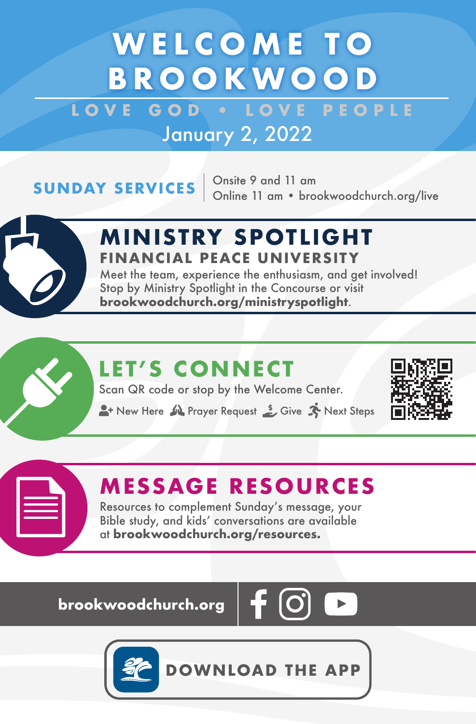## **WELCOME TO BROOKWOOD**

LOVE GOD . LOVE PEOPLE January 2, 2022

**SUNDAY SERVICES**  $\begin{array}{r}$  Onsite 9 and 11 am<br>Online 11 am • brookwoodchurch.org/live



### **M IN ISTRY SPOTL IGHT FINANCIAL PEACE UNIVERSITY**

Meet the team, experience the enthusiasm, and get involved! Stop by Ministry Spotlight in the Concourse or visit **brookwoodchurch.org/ministryspotlight**.

## **LET'S CONNECT**

Scan QR code or stop by the Welcome Center.

**A**+ New Here  $\mathbf{M}$  Prayer Request  $\mathbf{S}$  Give  $\mathbf{N}$  Next Steps



### **MESSAGE RESOURCES**

Resources to complement Sunday's message, your Bible study, and kids' conversations are available at **brookwoodchurch.org/resources.**

**brookwoodchurch.org** 





**DOWNLOAD THE APP**